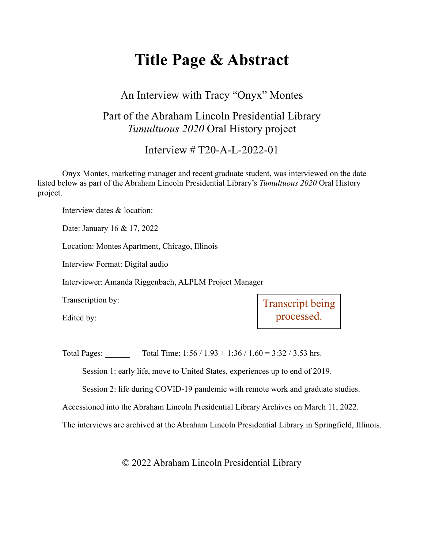# **Title Page & Abstract**

## An Interview with Tracy "Onyx" Montes

# Part of the Abraham Lincoln Presidential Library *Tumultuous 2020* Oral History project

Interview # T20-A-L-2022-01

Onyx Montes, marketing manager and recent graduate student, was interviewed on the date listed below as part of the Abraham Lincoln Presidential Library's *Tumultuous 2020* Oral History project.

Interview dates & location:

Date: January 16 & 17, 2022

Location: Montes Apartment, Chicago, Illinois

Interview Format: Digital audio

Interviewer: Amanda Riggenbach, ALPLM Project Manager

Transcription by:

Edited by:

Transcript being processed.

Total Pages: Total Time:  $1:56 / 1.93 + 1:36 / 1.60 = 3:32 / 3.53$  hrs.

Session 1: early life, move to United States, experiences up to end of 2019.

Session 2: life during COVID-19 pandemic with remote work and graduate studies.

Accessioned into the Abraham Lincoln Presidential Library Archives on March 11, 2022.

The interviews are archived at the Abraham Lincoln Presidential Library in Springfield, Illinois.

© 2022 Abraham Lincoln Presidential Library